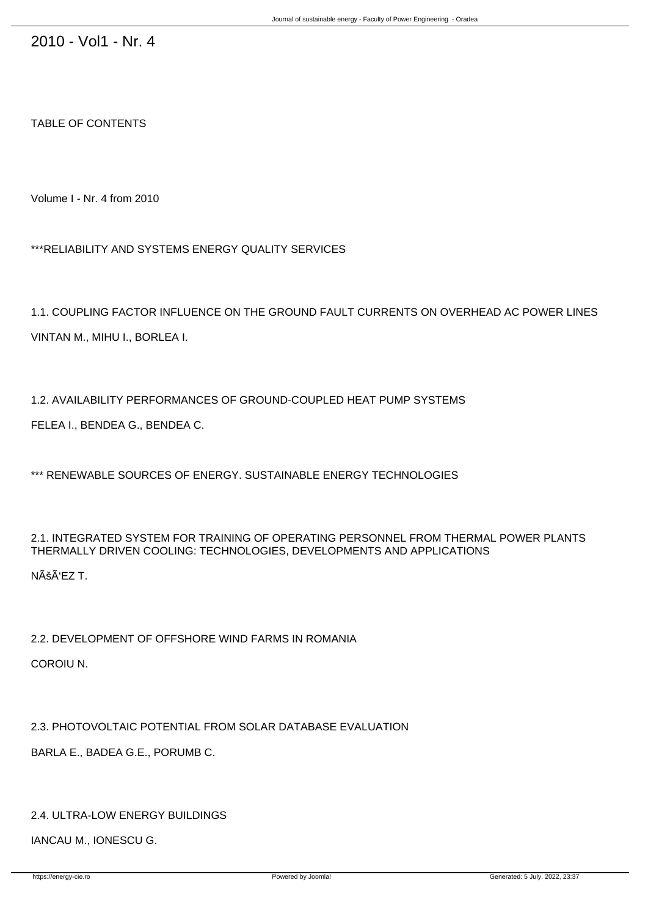TABLE OF CONTENTS

Volume I - Nr. 4 from 2010

\*\*\*RELIABILITY AND SYSTEMS ENERGY QUALITY SERVICES

1.1. COUPLING FACTOR INFLUENCE ON THE GROUND FAULT CURRENTS ON OVERHEAD AC POWER LINES VINTAN M., MIHU I., BORLEA I.

1.2. AVAILABILITY PERFORMANCES OF GROUND-COUPLED HEAT PUMP SYSTEMS FELEA I., BENDEA G., BENDEA C.

\*\*\* RENEWABLE SOURCES OF ENERGY. SUSTAINABLE ENERGY TECHNOLOGIES

## 2.1. INTEGRATED SYSTEM FOR TRAINING OF OPERATING PERSONNEL FROM THERMAL POWER PLANTS THERMALLY DRIVEN COOLING: TECHNOLOGIES, DEVELOPMENTS AND APPLICATIONS

NÊÑEZ T.

2.2. DEVELOPMENT OF OFFSHORE WIND FARMS IN ROMANIA

COROIU N.

2.3. PHOTOVOLTAIC POTENTIAL FROM SOLAR DATABASE EVALUATION

BARLA E., BADEA G.E., PORUMB C.

## 2.4. ULTRA-LOW ENERGY BUILDINGS

IANCAU M., IONESCU G.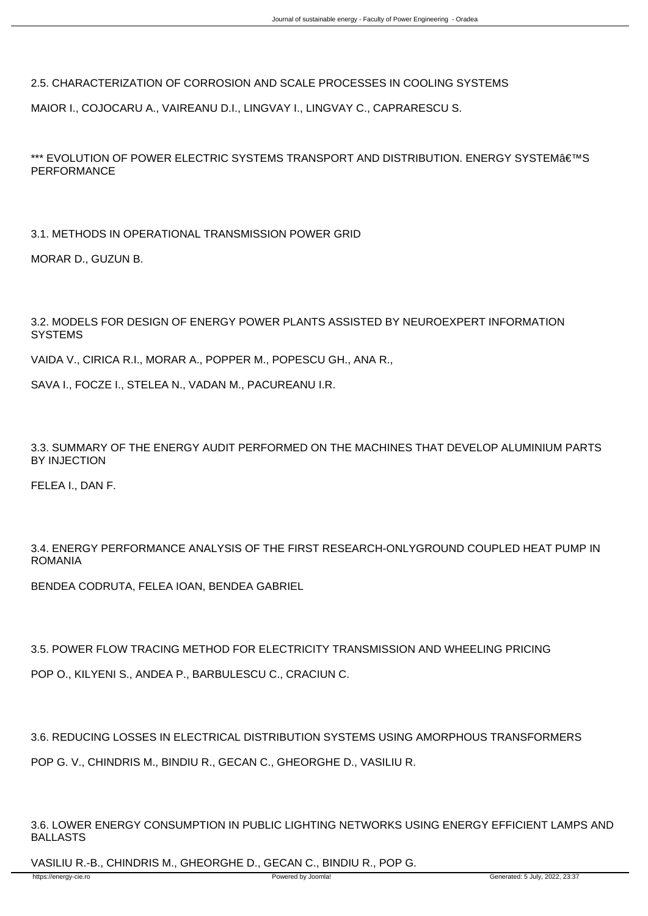2.5. CHARACTERIZATION OF CORROSION AND SCALE PROCESSES IN COOLING SYSTEMS

MAIOR I., COJOCARU A., VAIREANU D.I., LINGVAY I., LINGVAY C., CAPRARESCU S.

\*\*\* EVOLUTION OF POWER ELECTRIC SYSTEMS TRANSPORT AND DISTRIBUTION. ENERGY SYSTEM€™S PERFORMANCE

3.1. METHODS IN OPERATIONAL TRANSMISSION POWER GRID

MORAR D., GUZUN B.

3.2. MODELS FOR DESIGN OF ENERGY POWER PLANTS ASSISTED BY NEUROEXPERT INFORMATION **SYSTEMS** 

VAIDA V., CIRICA R.I., MORAR A., POPPER M., POPESCU GH., ANA R.,

SAVA I., FOCZE I., STELEA N., VADAN M., PACUREANU I.R.

3.3. SUMMARY OF THE ENERGY AUDIT PERFORMED ON THE MACHINES THAT DEVELOP ALUMINIUM PARTS BY INJECTION

FELEA I., DAN F.

3.4. ENERGY PERFORMANCE ANALYSIS OF THE FIRST RESEARCH-ONLYGROUND COUPLED HEAT PUMP IN ROMANIA

BENDEA CODRUTA, FELEA IOAN, BENDEA GABRIEL

3.5. POWER FLOW TRACING METHOD FOR ELECTRICITY TRANSMISSION AND WHEELING PRICING

POP O., KILYENI S., ANDEA P., BARBULESCU C., CRACIUN C.

3.6. REDUCING LOSSES IN ELECTRICAL DISTRIBUTION SYSTEMS USING AMORPHOUS TRANSFORMERS

POP G. V., CHINDRIS M., BINDIU R., GECAN C., GHEORGHE D., VASILIU R.

3.6. LOWER ENERGY CONSUMPTION IN PUBLIC LIGHTING NETWORKS USING ENERGY EFFICIENT LAMPS AND BALLASTS

VASILIU R.-B., CHINDRIS M., GHEORGHE D., GECAN C., BINDIU R., POP G.